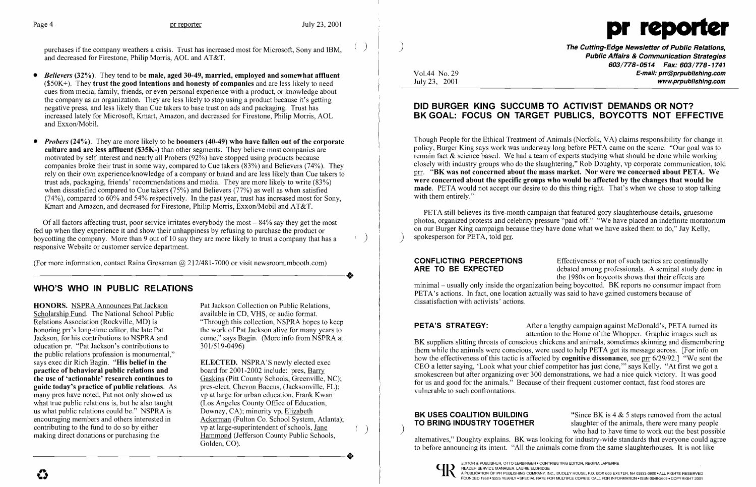

purchases if the company weathers a crisis. Trust has increased most for Microsoft, Sony and IBM, and decreased for Firestone, Philip Morris, AOL and AT&T.

- *Believers* (32%). They tend to be male, aged 30-49, married, employed and somewhat affluent  $($50K+)$ . They trust the good intentions and honesty of companies and are less likely to need cues from media, family, friends, or even personal experience with a product, or knowledge about the company as an organization. They are less likely to stop using a product because it's getting negative press, and less likely than Cue takers to base trust on ads and packaging. Trust has increased lately for Microsoft, Kmart, Amazon, and decreased for Firestone, Philip Morris, AOL and Exxon/Mobil.
- *Probers* (24%). They are more likely to be boomers (40-49) who have fallen out of the corporate culture and are less affluent (\$35K-) than other segments. They believe most companies are motivated by self interest and nearly all Probers (92%) have stopped using products because companies broke their trust in some way, compared to Cue takers (83%) and Believers (74%). They rely on their own experience/knowledge of a company or brand and are less likely than Cue takers to trust ads, packaging, friends' recommendations and media. They are more likely to write (83%) when dissatisfied compared to Cue takers (75%) and Believers (77%) as well as when satisfied  $(74%)$ , compared to  $60%$  and 54% respectively. In the past year, trust has increased most for Sony, Kmart and Amazon, and decreased for Firestone, Philip Morris, Exxon/Mobil and AT&T.

HONORS. NSPRA Announces Pat Jackson Pat Jackson Collection on Public Relations, Scholarship Fund. The National School Public Relations Association (Rockville, MD) is honoring prr's long-time editor, the late Pat the work of Pat Jackson alive for many years to Jackson, for his contributions to NSPRA and the work of Pat Jackson alive form NSPRA at education pr. "Pat Jackson's contributions to the public relations profession is monumental," says exec dir Rich Bagin. "His belief in the ELECTED. NSPRA'S newly elected exercice of behavioral public relations and board for 2001-2002 include: pres, Barry practice of behavioral public relations and<br>the use of 'actionable' research continues to guide today's practice of public relations. As pres-elect, Chevon Baccus, (Jacksonville, FL many pros have noted, Pat not only showed us vp at large for urban education, Frank Kwan many pros have noted, Pat not only showed us vp at large for urban education, Frank Kwa what true public relations is, but he also taught (Los Angeles County Office of Education, what true public relations is, but he also taught (Los Angeles County Office of Educations what public relations could be." NSPRA is Downey, CA); minority vp, Elizabeth us what public relations could be." NSPRA is<br>encouraging members and others interested in encouraging members and others interested in Ackerman (Fulton Co. School System, Atlanta); contributing to the fund to do so by either vp at large-superintendent of schools, <u>Jane</u><br>making direct donations or purchasing the Hammond (Jefferson County Public School

available in CD, VHS, or audio format. "Through this collection, NSPRA hopes to keep come," says Bagin. (More info from NSPRA at  $301/519-0496$ )

ELECTED. NSPRA'S newly elected exec Gaskins (Pitt County Schools, Greenville, NC);<br>pres-elect, Chevon Baccus, (Jacksonville, FL); Hammond (Jefferson County Public Schools, Golden, CO). making direct donations or purchasing the Hammond (Jefferson County Public Schools,<br>Golden, CO).

Of all factors affecting trust, poor service irritates everybody the most - 84% say they get the most fed up when they experience it and show their unhappiness by refusing to purchase the product or boycotting the company. More than 9 out of 10 say they are more likely to trust a company that has a responsive Website or customer service department.

) The Cutting-Edge Newsletter of Public Relations, Public Affairs & Communication Strategies 603/778-0514 Fax: 603/778-1741 Vol.44 No. 29 **E-mail: prr@prpublishing.com**<br>July 23, 2001 www.prpublishing.com

(For more information, contact Raina Grossman  $@212/481-7000$  or visit newsroom.mbooth.com) (For more information, contact Raina Grossman  $@$  212/481-7000 or visit newsroom.mbooth.com)

# WHO'S WHO IN PUBLIC RELATIONS

PETA still believes its five-month campaign that featured gory slaughterhouse details, gruesome photos, organized protests and celebrity pressure "paid off." "We have placed an indefinite moratorium on our Burger King campaign because they have done what we have asked them to do," Jay Kelly, spokesperson for PETA, told prr.

debated among professionals. A seminal study done in the 1980s on boycotts shows that their effects are

**CONFLICTING PERCEPTIONS**<br> **Effectiveness or not of such tactics are continually<br>
ARE TO BE EXPECTED** debated among professionals. A seminal study don minimal- usually only inside the organization being boycotted. BK reports no consumer impact from PETA's actions. In fact, one location actually was said to have gained customers because of dissatisfaction with activists' actions.

**PETA'S STRATEGY:** After a lengthy campaign against McDonald's, PETA turned its attention to the Home of the Whopper. Graphic images such as BK suppliers slitting throats of conscious chickens and animals, sometimes skinning and dismembering them while the animals were conscious, were used to help PETA get its message across. [For info on how the effectiveness of this tactic is affected by **cognitive dissonance**, see prr 6/29/92.] "We sent the CEO a letter saying, 'Look what your chief competitor has just done, '" says Kelly. "At first we got a smokescreen but after organizing over 300 demonstrations, we had a nice quick victory. It was good for us and good for the animals." Because of their frequent customer contact, fast food stores are vulnerable to such confrontations.

**BK USES COALITION BUILDING** "Since BK is  $4 \& 5$  steps removed from the actual<br>**TO BRING INDUSTRY TOGETHER** slaughter of the animals, there were many people slaughter of the animals, there were many people ) who had to have time to work out the best possible alternatives," Doughty explains. BK was looking for industry-wide standards that everyone could agree to before announcing its intent. "All the animals come from the same slaughterhouses. It is not like



EDITOR & PUBLISHER, OTTO LERBINGER • CONTRIBUTING EDITOR, REGINA LAPIERRE<br>READER SERVICE MANAGER, LAURIE ELDRIDGE<br>FOUNDED 1958 • \$225 YEARLY • SPECIAL RATE FOR MULTIPLE COPIES: CALL FOR INFORMATION • ISSN 0048-2609 • COPYR

### DID BURGER KING SUCCUMB TO ACTIVIST DEMANDS OR NOT? BK GOAL: FOCUS ON TARGET PUBLICS, BOYCOTTS NOT EFFECTIVE

Though People for the Ethical Treatment of Animals (Norfolk, VA) claims responsibility for change in policy, Burger King says work was underway long before PETA came on the scene. "Our goal was to remain fact & science based. We had a team of experts studying what should be done while working closely with industry groups who do the slaughtering," Rob Doughty, vp corporate communication, told prr. "BK was not concerned about the mass market. Nor were we concerned about PETA. We were concerned about the specific groups who would be affected by the changes that would be made. PETA would not accept our desire to do this thing right. That's when we chose to stop talking with them entirely."